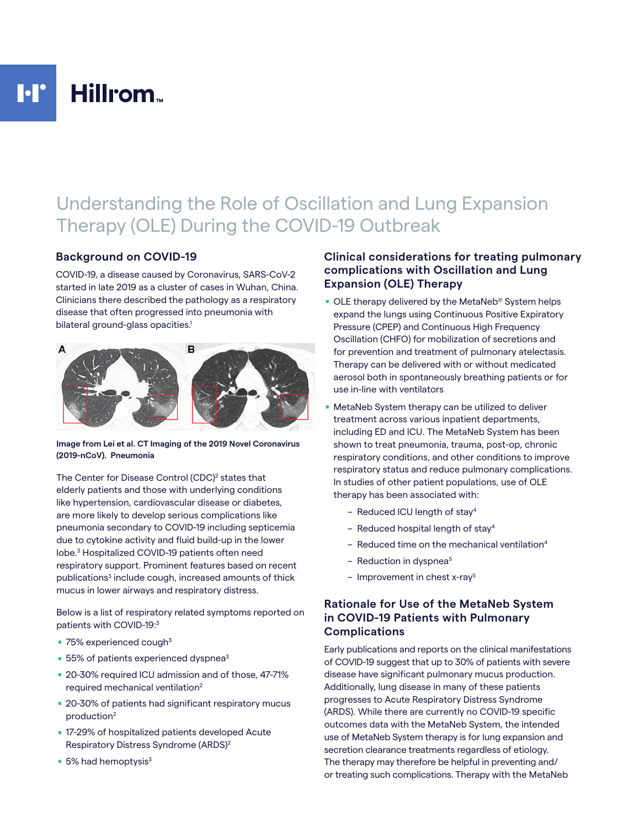## $\mathbf{I} \cdot \mathbf{I}^{\bullet}$ Hillrom<sub>-</sub>

# Understanding the Role of Oscillation and Lung Expansion Therapy (OLE) During the COVID-19 Outbreak

### **Background on COVID-19**

COVID-19, a disease caused by Coronavirus, SARS-CoV-2 started in late 2019 as a cluster of cases in Wuhan, China. Clinicians there described the pathology as a respiratory disease that often progressed into pneumonia with bilateral ground-glass opacities.<sup>1</sup>



**Image from Lei et al. CT Imaging of the 2019 Novel Coronavirus (2019-nCoV). Pneumonia**

The Center for Disease Control (CDC)<sup>2</sup> states that elderly patients and those with underlying conditions like hypertension, cardiovascular disease or diabetes, are more likely to develop serious complications like pneumonia secondary to COVID-19 including septicemia due to cytokine activity and fluid build-up in the lower lobe.3 Hospitalized COVID-19 patients often need respiratory support. Prominent features based on recent publications<sup>3</sup> include cough, increased amounts of thick mucus in lower airways and respiratory distress.

Below is a list of respiratory related symptoms reported on patients with COVID-19:3

- $\blacksquare$  75% experienced cough<sup>3</sup>
- $\blacksquare$  55% of patients experienced dyspnea<sup>3</sup>
- 20-30% required ICU admission and of those, 47-71% required mechanical ventilation<sup>2</sup>
- 20-30% of patients had significant respiratory mucus production2
- 17-29% of hospitalized patients developed Acute Respiratory Distress Syndrome (ARDS)2
- $\blacksquare$  5% had hemoptysis<sup>3</sup>

## **Clinical considerations for treating pulmonary complications with Oscillation and Lung Expansion (OLE) Therapy**

- **DLE** therapy delivered by the MetaNeb<sup>®</sup> System helps expand the lungs using Continuous Positive Expiratory Pressure (CPEP) and Continuous High Frequency Oscillation (CHFO) for mobilization of secretions and for prevention and treatment of pulmonary atelectasis. Therapy can be delivered with or without medicated aerosol both in spontaneously breathing patients or for use in-line with ventilators
- . MetaNeb System therapy can be utilized to deliver treatment across various inpatient departments, including ED and ICU. The MetaNeb System has been shown to treat pneumonia, trauma, post-op, chronic respiratory conditions, and other conditions to improve respiratory status and reduce pulmonary complications. In studies of other patient populations, use of OLE therapy has been associated with:
	- Reduced ICU length of stay4
	- Reduced hospital length of stay4
	- $-$  Reduced time on the mechanical ventilation<sup>4</sup>
	- $-$  Reduction in dyspnea<sup>5</sup>
	- $-$  Improvement in chest x-rav<sup>5</sup>

## **Rationale for Use of the MetaNeb System in COVID-19 Patients with Pulmonary Complications**

Early publications and reports on the clinical manifestations of COVID-19 suggest that up to 30% of patients with severe disease have significant pulmonary mucus production. Additionally, lung disease in many of these patients progresses to Acute Respiratory Distress Syndrome (ARDS). While there are currently no COVID-19 specific outcomes data with the MetaNeb System, the intended use of MetaNeb System therapy is for lung expansion and secretion clearance treatments regardless of etiology. The therapy may therefore be helpful in preventing and/ or treating such complications. Therapy with the MetaNeb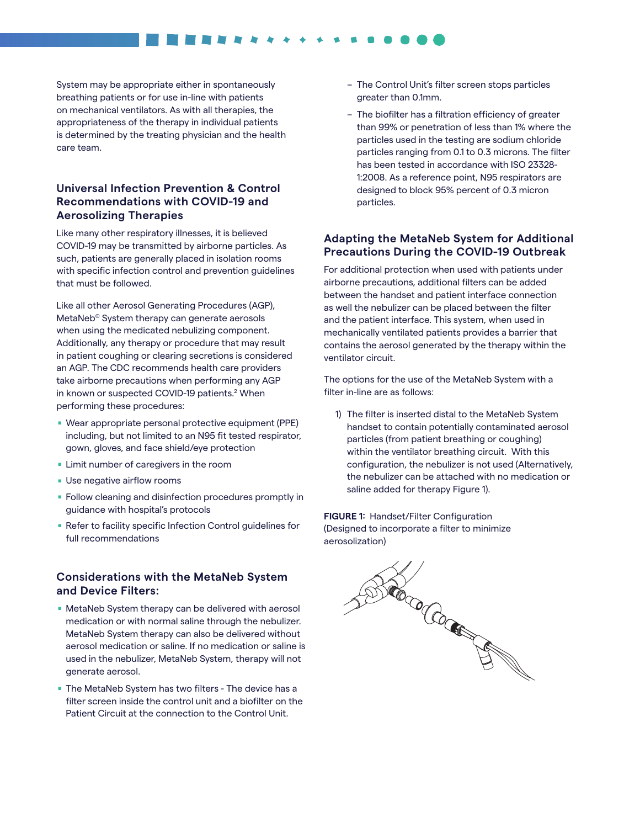System may be appropriate either in spontaneously breathing patients or for use in-line with patients on mechanical ventilators. As with all therapies, the appropriateness of the therapy in individual patients is determined by the treating physician and the health care team.

## **Universal Infection Prevention & Control Recommendations with COVID-19 and Aerosolizing Therapies**

Like many other respiratory illnesses, it is believed COVID-19 may be transmitted by airborne particles. As such, patients are generally placed in isolation rooms with specific infection control and prevention guidelines that must be followed.

Like all other Aerosol Generating Procedures (AGP), MetaNeb® System therapy can generate aerosols when using the medicated nebulizing component. Additionally, any therapy or procedure that may result in patient coughing or clearing secretions is considered an AGP. The CDC recommends health care providers take airborne precautions when performing any AGP in known or suspected COVID-19 patients.<sup>2</sup> When performing these procedures:

- . Wear appropriate personal protective equipment (PPE) including, but not limited to an N95 fit tested respirator, gown, gloves, and face shield/eye protection gown, gloves, and face shield/eye prote<br>Limit number of caregivers in the room
- **Limit number of caregivers**<br>**Use negative airflow rooms**
- 
- Use negative airflow rooms<br>■ Follow cleaning and disinfection procedures promptly in guidance with hospital's protocols
- Refer to facility specific Infection Control guidelines for full recommendations

#### **Considerations with the MetaNeb System and Device Filters:**

- . MetaNeb System therapy can be delivered with aerosol medication or with normal saline through the nebulizer. MetaNeb System therapy can also be delivered without aerosol medication or saline. If no medication or saline is used in the nebulizer, MetaNeb System, therapy will not generate aerosol.
- . The MetaNeb System has two filters The device has a filter screen inside the control unit and a biofilter on the Patient Circuit at the connection to the Control Unit.
- The Control Unit's filter screen stops particles greater than 0.1mm.
- The biofilter has a filtration efficiency of greater than 99% or penetration of less than 1% where the particles used in the testing are sodium chloride particles ranging from 0.1 to 0.3 microns. The filter has been tested in accordance with ISO 23328- 1:2008. As a reference point, N95 respirators are designed to block 95% percent of 0.3 micron particles.

#### **Adapting the MetaNeb System for Additional Precautions During the COVID-19 Outbreak**

For additional protection when used with patients under airborne precautions, additional filters can be added between the handset and patient interface connection as well the nebulizer can be placed between the filter and the patient interface. This system, when used in mechanically ventilated patients provides a barrier that contains the aerosol generated by the therapy within the ventilator circuit.

The options for the use of the MetaNeb System with a filter in-line are as follows:

1) The filter is inserted distal to the MetaNeb System handset to contain potentially contaminated aerosol particles (from patient breathing or coughing) within the ventilator breathing circuit. With this configuration, the nebulizer is not used (Alternatively, the nebulizer can be attached with no medication or saline added for therapy Figure 1).

**FIGURE 1:** Handset/Filter Configuration (Designed to incorporate a filter to minimize aerosolization)

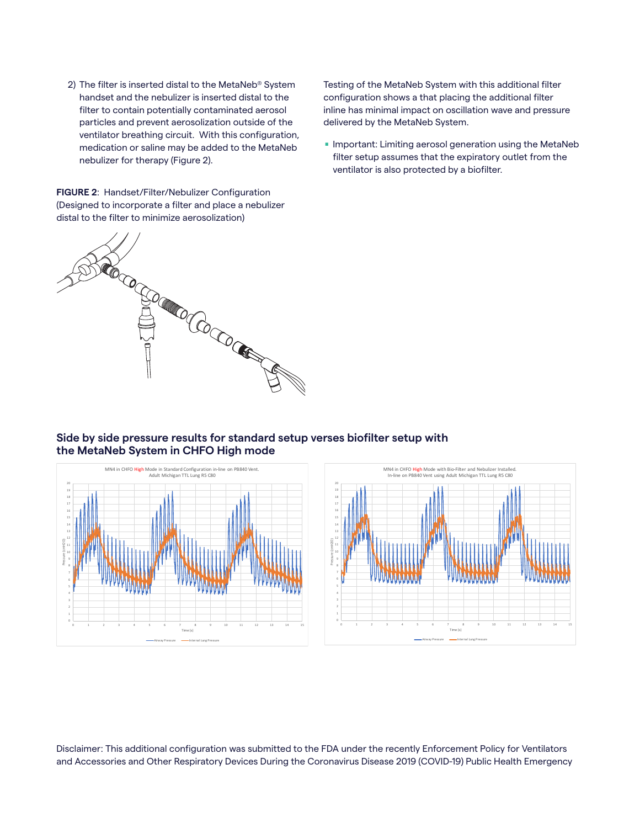2) The filter is inserted distal to the MetaNeb® System handset and the nebulizer is inserted distal to the filter to contain potentially contaminated aerosol particles and prevent aerosolization outside of the ventilator breathing circuit. With this configuration, medication or saline may be added to the MetaNeb nebulizer for therapy (Figure 2).

**FIGURE 2**: Handset/Filter/Nebulizer Configuration (Designed to incorporate a filter and place a nebulizer distal to the filter to minimize aerosolization)



Testing of the MetaNeb System with this additional filter configuration shows a that placing the additional filter inline has minimal impact on oscillation wave and pressure delivered by the MetaNeb System.

**Important: Limiting aerosol generation using the MetaNeb** filter setup assumes that the expiratory outlet from the ventilator is also protected by a biofilter.

#### **Side by side pressure results for standard setup verses biofilter setup with the MetaNeb System in CHFO High mode**





Disclaimer: This additional configuration was submitted to the FDA under the recently Enforcement Policy for Ventilators and Accessories and Other Respiratory Devices During the Coronavirus Disease 2019 (COVID-19) Public Health Emergency